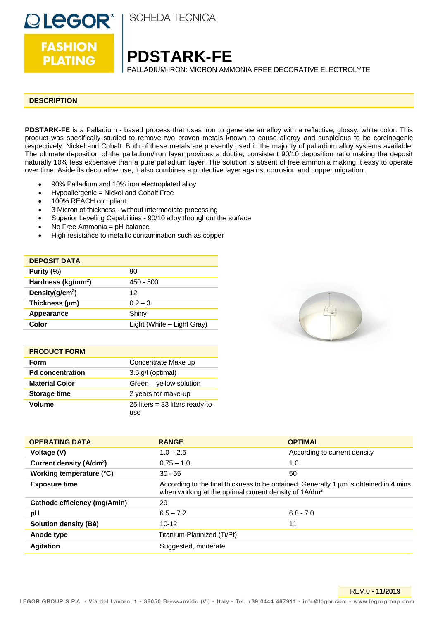

**PLATING** 

**SCHEDA TECNICA** 

**PDSTARK-FE**

PALLADIUM-IRON: MICRON AMMONIA FREE DECORATIVE ELECTROLYTE

#### **DESCRIPTION**

**PDSTARK-FE** is a Palladium - based process that uses iron to generate an alloy with a reflective, glossy, white color. This product was specifically studied to remove two proven metals known to cause allergy and suspicious to be carcinogenic respectively: Nickel and Cobalt. Both of these metals are presently used in the majority of palladium alloy systems available. The ultimate deposition of the palladium/iron layer provides a ductile, consistent 90/10 deposition ratio making the deposit naturally 10% less expensive than a pure palladium layer. The solution is absent of free ammonia making it easy to operate over time. Aside its decorative use, it also combines a protective layer against corrosion and copper migration.

- 90% Palladium and 10% iron electroplated alloy
- Hypoallergenic = Nickel and Cobalt Free
- 100% REACH compliant
- 3 Micron of thickness without intermediate processing
- Superior Leveling Capabilities 90/10 alloy throughout the surface
- No Free Ammonia = pH balance
- High resistance to metallic contamination such as copper

| <b>DEPOSIT DATA</b>            |                            |
|--------------------------------|----------------------------|
| Purity (%)                     | 90                         |
| Hardness (kg/mm <sup>2</sup> ) | $450 - 500$                |
| Density(g/cm <sup>3</sup> )    | 12                         |
| Thickness (µm)                 | $0.2 - 3$                  |
| Appearance                     | Shiny                      |
| Color                          | Light (White - Light Gray) |

| <b>PRODUCT FORM</b>     |                                          |
|-------------------------|------------------------------------------|
| <b>Form</b>             | Concentrate Make up                      |
| <b>Pd concentration</b> | 3.5 g/l (optimal)                        |
| <b>Material Color</b>   | Green - yellow solution                  |
| <b>Storage time</b>     | 2 years for make-up                      |
| Volume                  | $25$ liters = 33 liters ready-to-<br>use |



| <b>OPERATING DATA</b>                | <b>RANGE</b>                                                                                                                                               | <b>OPTIMAL</b>               |
|--------------------------------------|------------------------------------------------------------------------------------------------------------------------------------------------------------|------------------------------|
| Voltage (V)                          | $1.0 - 2.5$                                                                                                                                                | According to current density |
| Current density (A/dm <sup>2</sup> ) | $0.75 - 1.0$                                                                                                                                               | 1.0                          |
| Working temperature (°C)             | $30 - 55$                                                                                                                                                  | 50                           |
| <b>Exposure time</b>                 | According to the final thickness to be obtained. Generally 1 µm is obtained in 4 mins<br>when working at the optimal current density of 1A/dm <sup>2</sup> |                              |
| Cathode efficiency (mg/Amin)         | 29                                                                                                                                                         |                              |
| рH                                   | $6.5 - 7.2$                                                                                                                                                | $6.8 - 7.0$                  |
| Solution density (Bè)                | $10-12$                                                                                                                                                    | 11                           |
| Anode type                           | Titanium-Platinized (Ti/Pt)                                                                                                                                |                              |
| <b>Agitation</b>                     | Suggested, moderate                                                                                                                                        |                              |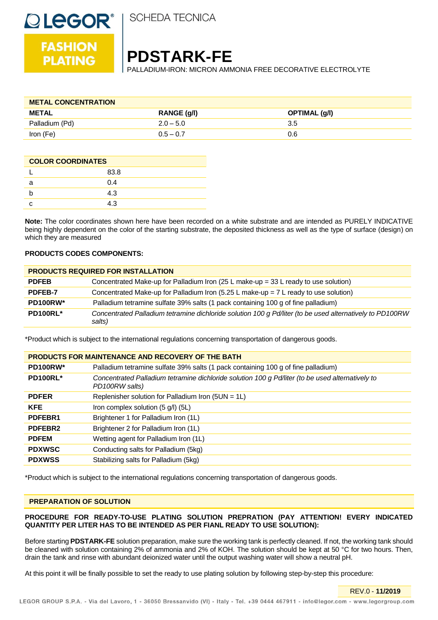

**FASHION** 

**PLATING** 

**SCHEDA TECNICA** 

# **PDSTARK-FE**

PALLADIUM-IRON: MICRON AMMONIA FREE DECORATIVE ELECTROLYTE

| <b>METAL CONCENTRATION</b> |             |               |
|----------------------------|-------------|---------------|
| <b>METAL</b>               | RANGE (g/l) | OPTIMAL (g/l) |
| Palladium (Pd)             | $2.0 - 5.0$ | 3.5           |
| Iron (Fe)                  | $0.5 - 0.7$ | 0.6           |

| <b>COLOR COORDINATES</b> |      |
|--------------------------|------|
|                          | 83.8 |
|                          | 0.4  |
|                          | 4.3  |
|                          |      |

**Note:** The color coordinates shown here have been recorded on a white substrate and are intended as PURELY INDICATIVE being highly dependent on the color of the starting substrate, the deposited thickness as well as the type of surface (design) on which they are measured

#### **PRODUCTS CODES COMPONENTS:**

| <b>PRODUCTS REQUIRED FOR INSTALLATION</b> |                                                                                                                    |
|-------------------------------------------|--------------------------------------------------------------------------------------------------------------------|
| <b>PDFEB</b>                              | Concentrated Make-up for Palladium Iron (25 L make-up = $33$ L ready to use solution)                              |
| <b>PDFEB-7</b>                            | Concentrated Make-up for Palladium Iron (5.25 L make-up = $7$ L ready to use solution)                             |
| PD100RW*                                  | Palladium tetramine sulfate 39% salts (1 pack containing 100 g of fine palladium)                                  |
| PD100RL*                                  | Concentrated Palladium tetramine dichloride solution 100 g Pd/liter (to be used alternatively to PD100RW<br>salts) |

\*Product which is subject to the international regulations concerning transportation of dangerous goods.

| <b>PRODUCTS FOR MAINTENANCE AND RECOVERY OF THE BATH</b> |                                                                                                                    |
|----------------------------------------------------------|--------------------------------------------------------------------------------------------------------------------|
| PD100RW*                                                 | Palladium tetramine sulfate 39% salts (1 pack containing 100 g of fine palladium)                                  |
| <b>PD100RL*</b>                                          | Concentrated Palladium tetramine dichloride solution 100 g Pd/liter (to be used alternatively to<br>PD100RW salts) |
| <b>PDFER</b>                                             | Replenisher solution for Palladium Iron (5UN = $1L$ )                                                              |
| <b>KFE</b>                                               | Iron complex solution (5 g/l) (5L)                                                                                 |
| PDFEBR1                                                  | Brightener 1 for Palladium Iron (1L)                                                                               |
| PDFEBR2                                                  | Brightener 2 for Palladium Iron (1L)                                                                               |
| <b>PDFEM</b>                                             | Wetting agent for Palladium Iron (1L)                                                                              |
| <b>PDXWSC</b>                                            | Conducting salts for Palladium (5kg)                                                                               |
| <b>PDXWSS</b>                                            | Stabilizing salts for Palladium (5kg)                                                                              |

\*Product which is subject to the international regulations concerning transportation of dangerous goods.

#### **PREPARATION OF SOLUTION**

#### **PROCEDURE FOR READY-TO-USE PLATING SOLUTION PREPRATION (PAY ATTENTION! EVERY INDICATED QUANTITY PER LITER HAS TO BE INTENDED AS PER FIANL READY TO USE SOLUTION):**

Before starting **PDSTARK-FE** solution preparation, make sure the working tank is perfectly cleaned. If not, the working tank should be cleaned with solution containing 2% of ammonia and 2% of KOH. The solution should be kept at 50 °C for two hours. Then, drain the tank and rinse with abundant deionized water until the output washing water will show a neutral pH.

At this point it will be finally possible to set the ready to use plating solution by following step-by-step this procedure:

REV.0 - **11/2019**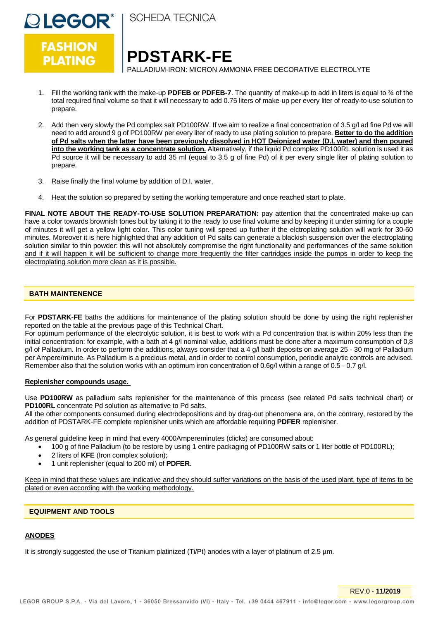

**SCHEDA TECNICA** 

# **PDSTARK-FE**

PALLADIUM-IRON: MICRON AMMONIA FREE DECORATIVE ELECTROLYTE

- 1. Fill the working tank with the make-up **PDFEB or PDFEB-7**. The quantity of make-up to add in liters is equal to ¾ of the total required final volume so that it will necessary to add 0.75 liters of make-up per every liter of ready-to-use solution to prepare.
- 2. Add then very slowly the Pd complex salt PD100RW. If we aim to realize a final concentration of 3.5 g/l ad fine Pd we will need to add around 9 g of PD100RW per every liter of ready to use plating solution to prepare. **Better to do the addition of Pd salts when the latter have been previously dissolved in HOT Deionized water (D.I. water) and then poured into the working tank as a concentrate solution.** Alternatively, if the liquid Pd complex PD100RL solution is used it as Pd source it will be necessary to add 35 ml (equal to 3.5 g of fine Pd) of it per every single liter of plating solution to prepare.
- 3. Raise finally the final volume by addition of D.I. water.
- 4. Heat the solution so prepared by setting the working temperature and once reached start to plate.

FINAL NOTE ABOUT THE READY-TO-USE SOLUTION PREPARATION: pay attention that the concentrated make-up can have a color towards brownish tones but by taking it to the ready to use final volume and by keeping it under stirring for a couple of minutes it will get a yellow light color. This color tuning will speed up further if the elctroplating solution will work for 30-60 minutes. Moreover it is here highlighted that any addition of Pd salts can generate a blackish suspension over the electroplating solution similar to thin powder: this will not absolutely compromise the right functionality and performances of the same solution and if it will happen it will be sufficient to change more frequently the filter cartridges inside the pumps in order to keep the electroplating solution more clean as it is possible.

## **BATH MAINTENENCE**

For **PDSTARK-FE** baths the additions for maintenance of the plating solution should be done by using the right replenisher reported on the table at the previous page of this Technical Chart.

For optimum performance of the electrolytic solution, it is best to work with a Pd concentration that is within 20% less than the initial concentration: for example, with a bath at 4 g/l nominal value, additions must be done after a maximum consumption of 0,8 g/l of Palladium. In order to perform the additions, always consider that a 4 g/l bath deposits on average 25 - 30 mg of Palladium per Ampere/minute. As Palladium is a precious metal, and in order to control consumption, periodic analytic controls are advised. Remember also that the solution works with an optimum iron concentration of 0.6g/l within a range of 0.5 - 0.7 g/l.

#### **Replenisher compounds usage.**

Use **PD100RW** as palladium salts replenisher for the maintenance of this process (see related Pd salts technical chart) or **PD100RL** concentrate Pd solution as alternative to Pd salts.

All the other components consumed during electrodepositions and by drag-out phenomena are, on the contrary, restored by the addition of PDSTARK-FE complete replenisher units which are affordable requiring **PDFER** replenisher.

As general guideline keep in mind that every 4000Ampereminutes (clicks) are consumed about:

- 100 g of fine Palladium (to be restore by using 1 entire packaging of PD100RW salts or 1 liter bottle of PD100RL);
- 2 liters of **KFE** (Iron complex solution);
- 1 unit replenisher (equal to 200 ml) of **PDFER**.

Keep in mind that these values are indicative and they should suffer variations on the basis of the used plant, type of items to be plated or even according with the working methodology.

## **EQUIPMENT AND TOOLS**

#### **ANODES**

It is strongly suggested the use of Titanium platinized (Ti/Pt) anodes with a layer of platinum of 2.5 µm.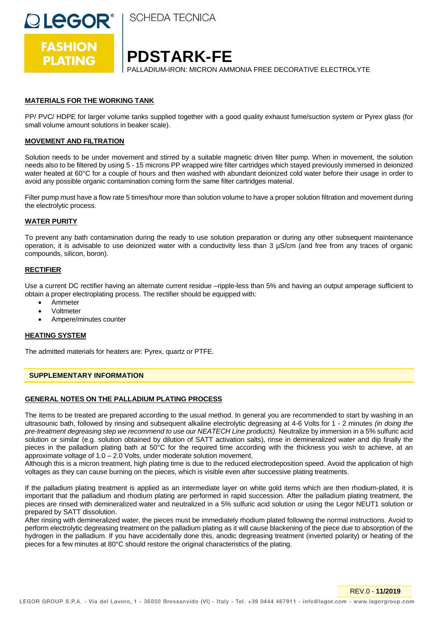

**SCHEDA TECNICA** 

# **PDSTARK-FE**

PALLADIUM-IRON: MICRON AMMONIA FREE DECORATIVE ELECTROLYTE

## **MATERIALS FOR THE WORKING TANK**

PP/ PVC/ HDPE for larger volume tanks supplied together with a good quality exhaust fume/suction system or Pyrex glass (for small volume amount solutions in beaker scale).

## **MOVEMENT AND FILTRATION**

Solution needs to be under movement and stirred by a suitable magnetic driven filter pump. When in movement, the solution needs also to be filtered by using 5 - 15 microns PP wrapped wire filter cartridges which stayed previously immersed in deionized water heated at 60°C for a couple of hours and then washed with abundant deionized cold water before their usage in order to avoid any possible organic contamination coming form the same filter cartridges material.

Filter pump must have a flow rate 5 times/hour more than solution volume to have a proper solution filtration and movement during the electrolytic process.

## **WATER PURITY**

To prevent any bath contamination during the ready to use solution preparation or during any other subsequent maintenance operation, it is advisable to use deionized water with a conductivity less than 3 µS/cm (and free from any traces of organic compounds, silicon, boron).

#### **RECTIFIER**

Use a current DC rectifier having an alternate current residue –ripple-less than 5% and having an output amperage sufficient to obtain a proper electroplating process. The rectifier should be equipped with:

- Ammeter
- Voltmeter
- Ampere/minutes counter

#### **HEATING SYSTEM**

The admitted materials for heaters are: Pyrex, quartz or PTFE.

#### **SUPPLEMENTARY INFORMATION**

#### **GENERAL NOTES ON THE PALLADIUM PLATING PROCESS**

The items to be treated are prepared according to the usual method. In general you are recommended to start by washing in an ultrasounic bath, followed by rinsing and subsequent alkaline electrolytic degreasing at 4-6 Volts for 1 - 2 minutes *(in doing the pre-treatment degreasing step we recommend to use our NEATECH Line products).* Neutralize by immersion in a 5% sulfuric acid solution or similar (e.g. solution obtained by dilution of SATT activation salts), rinse in demineralized water and dip finally the pieces in the palladium plating bath at 50°C for the required time according with the thickness you wish to achieve, at an approximate voltage of 1.0 – 2.0 Volts, under moderate solution movement.

Although this is a micron treatment, high plating time is due to the reduced electrodeposition speed. Avoid the application of high voltages as they can cause burning on the pieces, which is visible even after successive plating treatments.

If the palladium plating treatment is applied as an intermediate layer on white gold items which are then rhodium-plated, it is important that the palladium and rhodium plating are performed in rapid succession. After the palladium plating treatment, the pieces are rinsed with demineralized water and neutralized in a 5% sulfuric acid solution or using the Legor NEUT1 solution or prepared by SATT dissolution.

After rinsing with demineralized water, the pieces must be immediately rhodium plated following the normal instructions. Avoid to perform electrolytic degreasing treatment on the palladium plating as it will cause blackening of the piece due to absorption of the hydrogen in the palladium. If you have accidentally done this, anodic degreasing treatment (inverted polarity) or heating of the pieces for a few minutes at 80°C should restore the original characteristics of the plating.